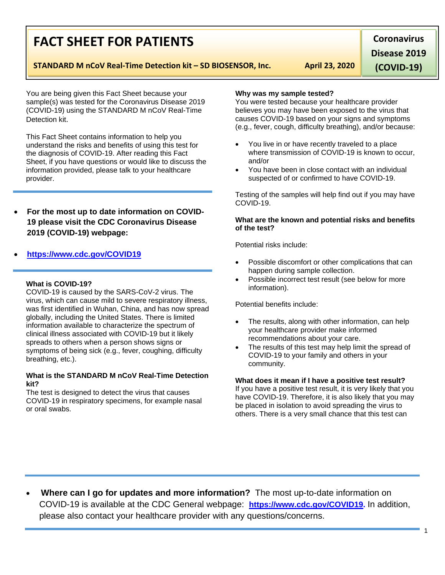# **FACT SHEET FOR PATIENTS**

## **STANDARD M nCoV Real-Time Detection kit – SD BIOSENSOR, Inc. April 23, 2020**

**Disease 2019** 

**Coronavirus** 

**(COVID-19)**

You are being given this Fact Sheet because your sample(s) was tested for the Coronavirus Disease 2019 (COVID-19) using the STANDARD M nCoV Real-Time Detection kit.

This Fact Sheet contains information to help you understand the risks and benefits of using this test for the diagnosis of COVID-19. After reading this Fact Sheet, if you have questions or would like to discuss the information provided, please talk to your healthcare provider.

• **For the most up to date information on COVID-19 please visit the CDC Coronavirus Disease 2019 (COVID-19) webpage:**

## • **[https://www.cdc.gov/COVID19](https://www.cdc.gov/nCoV)**

#### **What is COVID-19?**

COVID-19 is caused by the SARS-CoV-2 virus. The virus, which can cause mild to severe respiratory illness, was first identified in Wuhan, China, and has now spread globally, including the United States. There is limited information available to characterize the spectrum of clinical illness associated with COVID-19 but it likely spreads to others when a person shows signs or symptoms of being sick (e.g., fever, coughing, difficulty breathing, etc.).

#### **What is the STANDARD M nCoV Real-Time Detection kit?**

The test is designed to detect the virus that causes COVID-19 in respiratory specimens, for example nasal or oral swabs.

#### **Why was my sample tested?**

You were tested because your healthcare provider believes you may have been exposed to the virus that causes COVID-19 based on your signs and symptoms (e.g., fever, cough, difficulty breathing), and/or because:

- You live in or have recently traveled to a place where transmission of COVID-19 is known to occur, and/or
- You have been in close contact with an individual suspected of or confirmed to have COVID-19.

Testing of the samples will help find out if you may have COVID-19.

#### **What are the known and potential risks and benefits of the test?**

Potential risks include:

- Possible discomfort or other complications that can happen during sample collection.
- Possible incorrect test result (see below for more information).

Potential benefits include:

- The results, along with other information, can help your healthcare provider make informed recommendations about your care.
- The results of this test may help limit the spread of COVID-19 to your family and others in your community.

#### **What does it mean if I have a positive test result?**

If you have a positive test result, it is very likely that you have COVID-19. Therefore, it is also likely that you may be placed in isolation to avoid spreading the virus to others. There is a very small chance that this test can

• **Where can I go for updates and more information?** The most up-to-date information on COVID-19 is available at the CDC General webpage: **[https://www.cdc.gov/COVID19.](https://www.cdc.gov/nCoV)** In addition, please also contact your healthcare provider with any questions/concerns.